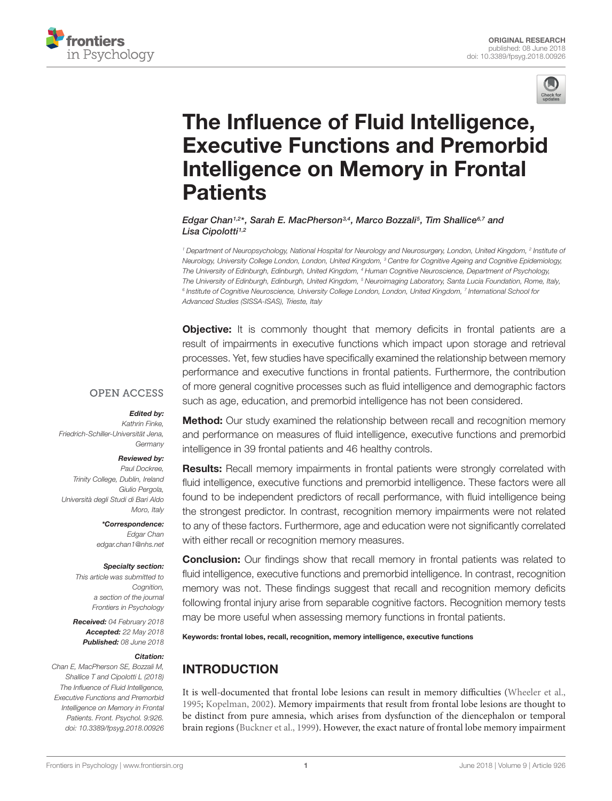



# The Influence of Fluid Intelligence, [Executive Functions and Premorbid](https://www.frontiersin.org/articles/10.3389/fpsyg.2018.00926/full) Intelligence on Memory in Frontal **Patients**

[Edgar Chan](http://loop.frontiersin.org/people/97689/overview)1,2\*, [Sarah E. MacPherson](http://loop.frontiersin.org/people/105564/overview)3,4, [Marco Bozzali](http://loop.frontiersin.org/people/29253/overview)<sup>5</sup>, [Tim Shallice](http://loop.frontiersin.org/people/616/overview)<sup>6,7</sup> and [Lisa Cipolotti](http://loop.frontiersin.org/people/51426/overview)<sup>1,2</sup>

<sup>1</sup> Department of Neuropsychology, National Hospital for Neurology and Neurosurgery, London, United Kingdom, <sup>2</sup> Institute oi Neurology, University College London, London, United Kingdom, <sup>3</sup> Centre for Cognitive Ageing and Cognitive Epidemiology, The University of Edinburgh, Edinburgh, United Kingdom, <sup>4</sup> Human Cognitive Neuroscience, Department of Psychology, The University of Edinburgh, Edinburgh, United Kingdom, <sup>5</sup> Neuroimaging Laboratory, Santa Lucia Foundation, Rome, Italy, 6 Institute of Cognitive Neuroscience, University College London, London, United Kingdom, <sup>7</sup> International School for Advanced Studies (SISSA-ISAS), Trieste, Italy

**Objective:** It is commonly thought that memory deficits in frontal patients are a result of impairments in executive functions which impact upon storage and retrieval processes. Yet, few studies have specifically examined the relationship between memory performance and executive functions in frontal patients. Furthermore, the contribution of more general cognitive processes such as fluid intelligence and demographic factors such as age, education, and premorbid intelligence has not been considered.

#### **OPEN ACCESS**

#### Edited by:

Kathrin Finke, Friedrich-Schiller-Universität Jena, Germany

#### Reviewed by:

Paul Dockree, Trinity College, Dublin, Ireland Giulio Pergola, Università degli Studi di Bari Aldo Moro, Italy

> \*Correspondence: Edgar Chan edgar.chan1@nhs.net

#### Specialty section:

This article was submitted to Cognition, a section of the journal Frontiers in Psychology

Received: 04 February 2018 Accepted: 22 May 2018 Published: 08 June 2018

#### Citation:

Chan E, MacPherson SE, Bozzali M, Shallice T and Cipolotti L (2018) The Influence of Fluid Intelligence, Executive Functions and Premorbid Intelligence on Memory in Frontal Patients. Front. Psychol. 9:926. doi: [10.3389/fpsyg.2018.00926](https://doi.org/10.3389/fpsyg.2018.00926)

**Method:** Our study examined the relationship between recall and recognition memory and performance on measures of fluid intelligence, executive functions and premorbid intelligence in 39 frontal patients and 46 healthy controls.

**Results:** Recall memory impairments in frontal patients were strongly correlated with fluid intelligence, executive functions and premorbid intelligence. These factors were all found to be independent predictors of recall performance, with fluid intelligence being the strongest predictor. In contrast, recognition memory impairments were not related to any of these factors. Furthermore, age and education were not significantly correlated with either recall or recognition memory measures.

**Conclusion:** Our findings show that recall memory in frontal patients was related to fluid intelligence, executive functions and premorbid intelligence. In contrast, recognition memory was not. These findings suggest that recall and recognition memory deficits following frontal injury arise from separable cognitive factors. Recognition memory tests may be more useful when assessing memory functions in frontal patients.

Keywords: frontal lobes, recall, recognition, memory intelligence, executive functions

# INTRODUCTION

It is well-documented that frontal lobe lesions can result in memory difficulties [\(Wheeler et al.,](#page-8-0) [1995;](#page-8-0) [Kopelman,](#page-8-1) [2002\)](#page-8-1). Memory impairments that result from frontal lobe lesions are thought to be distinct from pure amnesia, which arises from dysfunction of the diencephalon or temporal brain regions [\(Buckner et al.,](#page-8-2) [1999\)](#page-8-2). However, the exact nature of frontal lobe memory impairment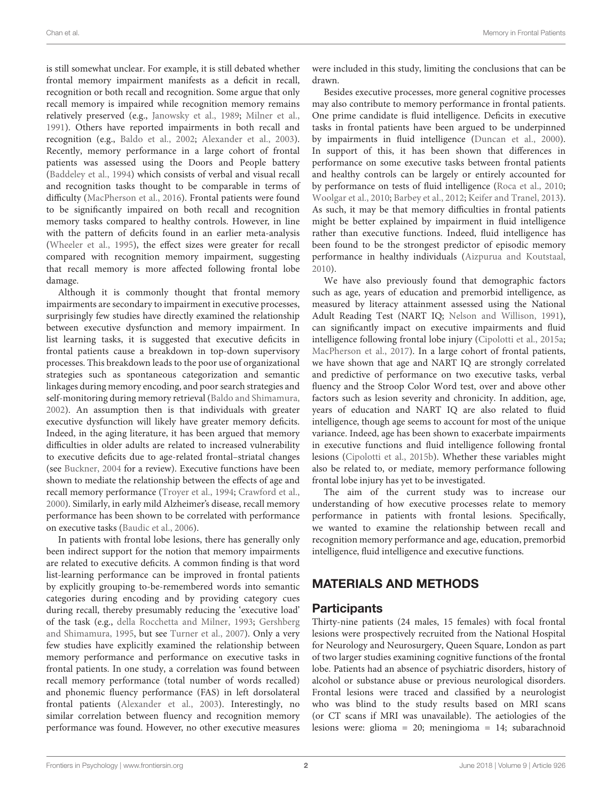is still somewhat unclear. For example, it is still debated whether frontal memory impairment manifests as a deficit in recall, recognition or both recall and recognition. Some argue that only recall memory is impaired while recognition memory remains relatively preserved (e.g., [Janowsky et al.,](#page-8-3) [1989;](#page-8-3) [Milner et al.,](#page-8-4) [1991\)](#page-8-4). Others have reported impairments in both recall and recognition (e.g., [Baldo et al.,](#page-8-5) [2002;](#page-8-5) [Alexander et al.,](#page-8-6) [2003\)](#page-8-6). Recently, memory performance in a large cohort of frontal patients was assessed using the Doors and People battery [\(Baddeley et al.,](#page-8-7) [1994\)](#page-8-7) which consists of verbal and visual recall and recognition tasks thought to be comparable in terms of difficulty [\(MacPherson et al.,](#page-8-8) [2016\)](#page-8-8). Frontal patients were found to be significantly impaired on both recall and recognition memory tasks compared to healthy controls. However, in line with the pattern of deficits found in an earlier meta-analysis [\(Wheeler et al.,](#page-8-0) [1995\)](#page-8-0), the effect sizes were greater for recall compared with recognition memory impairment, suggesting that recall memory is more affected following frontal lobe damage.

Although it is commonly thought that frontal memory impairments are secondary to impairment in executive processes, surprisingly few studies have directly examined the relationship between executive dysfunction and memory impairment. In list learning tasks, it is suggested that executive deficits in frontal patients cause a breakdown in top-down supervisory processes. This breakdown leads to the poor use of organizational strategies such as spontaneous categorization and semantic linkages during memory encoding, and poor search strategies and self-monitoring during memory retrieval [\(Baldo and Shimamura,](#page-8-9) [2002\)](#page-8-9). An assumption then is that individuals with greater executive dysfunction will likely have greater memory deficits. Indeed, in the aging literature, it has been argued that memory difficulties in older adults are related to increased vulnerability to executive deficits due to age-related frontal–striatal changes (see [Buckner,](#page-8-10) [2004](#page-8-10) for a review). Executive functions have been shown to mediate the relationship between the effects of age and recall memory performance [\(Troyer et al.,](#page-8-11) [1994;](#page-8-11) [Crawford et al.,](#page-8-12) [2000\)](#page-8-12). Similarly, in early mild Alzheimer's disease, recall memory performance has been shown to be correlated with performance on executive tasks [\(Baudic et al.,](#page-8-13) [2006\)](#page-8-13).

In patients with frontal lobe lesions, there has generally only been indirect support for the notion that memory impairments are related to executive deficits. A common finding is that word list-learning performance can be improved in frontal patients by explicitly grouping to-be-remembered words into semantic categories during encoding and by providing category cues during recall, thereby presumably reducing the 'executive load' of the task (e.g., [della Rocchetta and Milner,](#page-8-14) [1993;](#page-8-14) [Gershberg](#page-8-15) [and Shimamura,](#page-8-15) [1995,](#page-8-15) but see [Turner et al.,](#page-8-16) [2007\)](#page-8-16). Only a very few studies have explicitly examined the relationship between memory performance and performance on executive tasks in frontal patients. In one study, a correlation was found between recall memory performance (total number of words recalled) and phonemic fluency performance (FAS) in left dorsolateral frontal patients [\(Alexander et al.,](#page-8-6) [2003\)](#page-8-6). Interestingly, no similar correlation between fluency and recognition memory performance was found. However, no other executive measures were included in this study, limiting the conclusions that can be drawn.

Besides executive processes, more general cognitive processes may also contribute to memory performance in frontal patients. One prime candidate is fluid intelligence. Deficits in executive tasks in frontal patients have been argued to be underpinned by impairments in fluid intelligence [\(Duncan et al.,](#page-8-17) [2000\)](#page-8-17). In support of this, it has been shown that differences in performance on some executive tasks between frontal patients and healthy controls can be largely or entirely accounted for by performance on tests of fluid intelligence [\(Roca et al.,](#page-8-18) [2010;](#page-8-18) [Woolgar et al.,](#page-9-0) [2010;](#page-9-0) [Barbey et al.,](#page-8-19) [2012;](#page-8-19) [Keifer and Tranel,](#page-8-20) [2013\)](#page-8-20). As such, it may be that memory difficulties in frontal patients might be better explained by impairment in fluid intelligence rather than executive functions. Indeed, fluid intelligence has been found to be the strongest predictor of episodic memory performance in healthy individuals [\(Aizpurua and Koutstaal,](#page-8-21) [2010\)](#page-8-21).

We have also previously found that demographic factors such as age, years of education and premorbid intelligence, as measured by literacy attainment assessed using the National Adult Reading Test (NART IQ; [Nelson and Willison,](#page-8-22) [1991\)](#page-8-22), can significantly impact on executive impairments and fluid intelligence following frontal lobe injury [\(Cipolotti et al.,](#page-8-23) [2015a;](#page-8-23) [MacPherson et al.,](#page-8-24) [2017\)](#page-8-24). In a large cohort of frontal patients, we have shown that age and NART IQ are strongly correlated and predictive of performance on two executive tasks, verbal fluency and the Stroop Color Word test, over and above other factors such as lesion severity and chronicity. In addition, age, years of education and NART IQ are also related to fluid intelligence, though age seems to account for most of the unique variance. Indeed, age has been shown to exacerbate impairments in executive functions and fluid intelligence following frontal lesions [\(Cipolotti et al.,](#page-8-25) [2015b\)](#page-8-25). Whether these variables might also be related to, or mediate, memory performance following frontal lobe injury has yet to be investigated.

The aim of the current study was to increase our understanding of how executive processes relate to memory performance in patients with frontal lesions. Specifically, we wanted to examine the relationship between recall and recognition memory performance and age, education, premorbid intelligence, fluid intelligence and executive functions.

## MATERIALS AND METHODS

## Participants

Thirty-nine patients (24 males, 15 females) with focal frontal lesions were prospectively recruited from the National Hospital for Neurology and Neurosurgery, Queen Square, London as part of two larger studies examining cognitive functions of the frontal lobe. Patients had an absence of psychiatric disorders, history of alcohol or substance abuse or previous neurological disorders. Frontal lesions were traced and classified by a neurologist who was blind to the study results based on MRI scans (or CT scans if MRI was unavailable). The aetiologies of the lesions were: glioma = 20; meningioma = 14; subarachnoid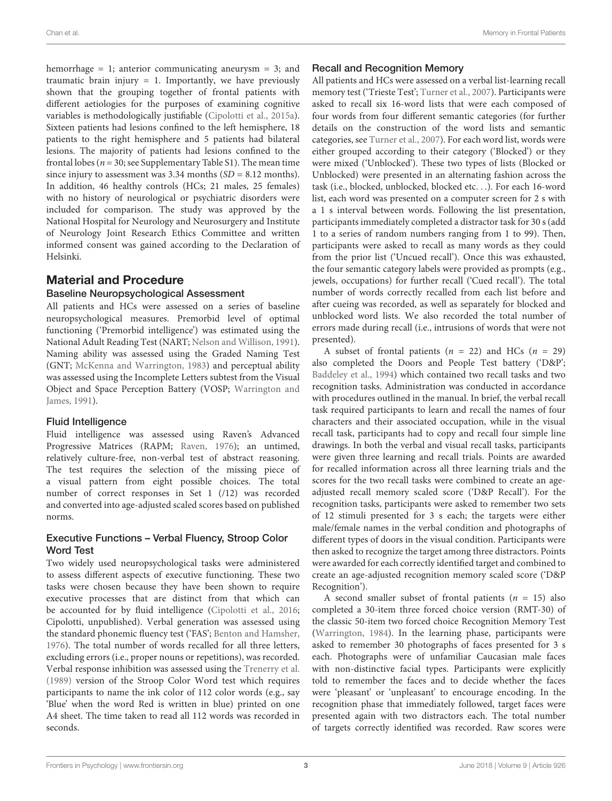hemorrhage = 1; anterior communicating aneurysm = 3; and traumatic brain injury  $= 1$ . Importantly, we have previously shown that the grouping together of frontal patients with different aetiologies for the purposes of examining cognitive variables is methodologically justifiable [\(Cipolotti et al.,](#page-8-23) [2015a\)](#page-8-23). Sixteen patients had lesions confined to the left hemisphere, 18 patients to the right hemisphere and 5 patients had bilateral lesions. The majority of patients had lesions confined to the frontal lobes ( $n = 30$ ; see Supplementary Table S1). The mean time since injury to assessment was  $3.34$  months ( $SD = 8.12$  months). In addition, 46 healthy controls (HCs; 21 males, 25 females) with no history of neurological or psychiatric disorders were included for comparison. The study was approved by the National Hospital for Neurology and Neurosurgery and Institute of Neurology Joint Research Ethics Committee and written informed consent was gained according to the Declaration of Helsinki.

## Material and Procedure

#### Baseline Neuropsychological Assessment

All patients and HCs were assessed on a series of baseline neuropsychological measures. Premorbid level of optimal functioning ('Premorbid intelligence') was estimated using the National Adult Reading Test (NART; [Nelson and Willison,](#page-8-22) [1991\)](#page-8-22). Naming ability was assessed using the Graded Naming Test (GNT; [McKenna and Warrington,](#page-8-26) [1983\)](#page-8-26) and perceptual ability was assessed using the Incomplete Letters subtest from the Visual Object and Space Perception Battery (VOSP; [Warrington and](#page-8-27) [James,](#page-8-27) [1991\)](#page-8-27).

#### Fluid Intelligence

Fluid intelligence was assessed using Raven's Advanced Progressive Matrices (RAPM; [Raven,](#page-8-28) [1976\)](#page-8-28); an untimed, relatively culture-free, non-verbal test of abstract reasoning. The test requires the selection of the missing piece of a visual pattern from eight possible choices. The total number of correct responses in Set 1 (/12) was recorded and converted into age-adjusted scaled scores based on published norms.

#### Executive Functions – Verbal Fluency, Stroop Color Word Test

Two widely used neuropsychological tasks were administered to assess different aspects of executive functioning. These two tasks were chosen because they have been shown to require executive processes that are distinct from that which can be accounted for by fluid intelligence [\(Cipolotti et al.,](#page-8-29) [2016;](#page-8-29) Cipolotti, unpublished). Verbal generation was assessed using the standard phonemic fluency test ('FAS'; [Benton and Hamsher,](#page-8-30) [1976\)](#page-8-30). The total number of words recalled for all three letters, excluding errors (i.e., proper nouns or repetitions), was recorded. Verbal response inhibition was assessed using the [Trenerry et al.](#page-8-31) [\(1989\)](#page-8-31) version of the Stroop Color Word test which requires participants to name the ink color of 112 color words (e.g., say 'Blue' when the word Red is written in blue) printed on one A4 sheet. The time taken to read all 112 words was recorded in seconds.

#### Recall and Recognition Memory

All patients and HCs were assessed on a verbal list-learning recall memory test ('Trieste Test'; [Turner et al.,](#page-8-16) [2007\)](#page-8-16). Participants were asked to recall six 16-word lists that were each composed of four words from four different semantic categories (for further details on the construction of the word lists and semantic categories, see [Turner et al.,](#page-8-16) [2007\)](#page-8-16). For each word list, words were either grouped according to their category ('Blocked') or they were mixed ('Unblocked'). These two types of lists (Blocked or Unblocked) were presented in an alternating fashion across the task (i.e., blocked, unblocked, blocked etc. . .). For each 16-word list, each word was presented on a computer screen for 2 s with a 1 s interval between words. Following the list presentation, participants immediately completed a distractor task for 30 s (add 1 to a series of random numbers ranging from 1 to 99). Then, participants were asked to recall as many words as they could from the prior list ('Uncued recall'). Once this was exhausted, the four semantic category labels were provided as prompts (e.g., jewels, occupations) for further recall ('Cued recall'). The total number of words correctly recalled from each list before and after cueing was recorded, as well as separately for blocked and unblocked word lists. We also recorded the total number of errors made during recall (i.e., intrusions of words that were not presented).

A subset of frontal patients ( $n = 22$ ) and HCs ( $n = 29$ ) also completed the Doors and People Test battery ('D&P'; [Baddeley et al.,](#page-8-7) [1994\)](#page-8-7) which contained two recall tasks and two recognition tasks. Administration was conducted in accordance with procedures outlined in the manual. In brief, the verbal recall task required participants to learn and recall the names of four characters and their associated occupation, while in the visual recall task, participants had to copy and recall four simple line drawings. In both the verbal and visual recall tasks, participants were given three learning and recall trials. Points are awarded for recalled information across all three learning trials and the scores for the two recall tasks were combined to create an ageadjusted recall memory scaled score ('D&P Recall'). For the recognition tasks, participants were asked to remember two sets of 12 stimuli presented for 3 s each; the targets were either male/female names in the verbal condition and photographs of different types of doors in the visual condition. Participants were then asked to recognize the target among three distractors. Points were awarded for each correctly identified target and combined to create an age-adjusted recognition memory scaled score ('D&P Recognition').

A second smaller subset of frontal patients ( $n = 15$ ) also completed a 30-item three forced choice version (RMT-30) of the classic 50-item two forced choice Recognition Memory Test [\(Warrington,](#page-8-32) [1984\)](#page-8-32). In the learning phase, participants were asked to remember 30 photographs of faces presented for 3 s each. Photographs were of unfamiliar Caucasian male faces with non-distinctive facial types. Participants were explicitly told to remember the faces and to decide whether the faces were 'pleasant' or 'unpleasant' to encourage encoding. In the recognition phase that immediately followed, target faces were presented again with two distractors each. The total number of targets correctly identified was recorded. Raw scores were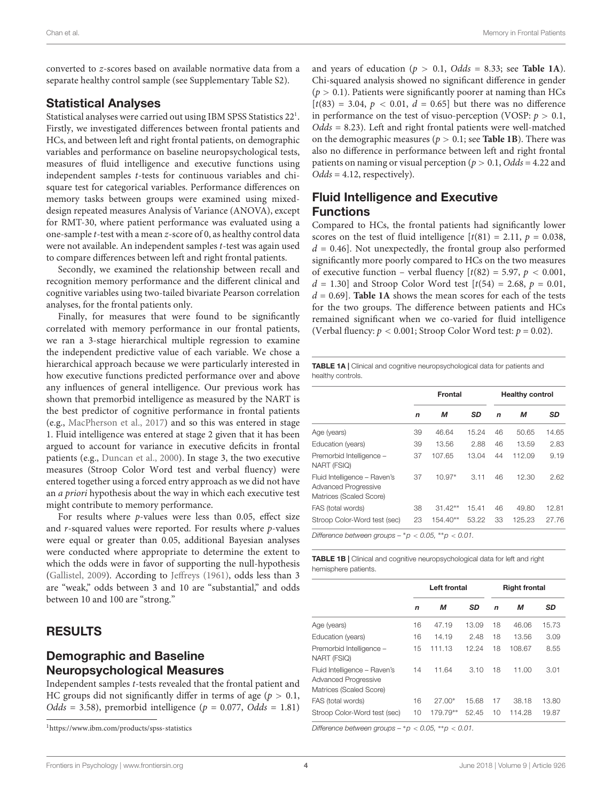converted to z-scores based on available normative data from a separate healthy control sample (see Supplementary Table S2).

#### Statistical Analyses

Statistical analyses were carried out using IBM SPSS Statistics 22<sup>[1](#page-3-0)</sup>. Firstly, we investigated differences between frontal patients and HCs, and between left and right frontal patients, on demographic variables and performance on baseline neuropsychological tests, measures of fluid intelligence and executive functions using independent samples t-tests for continuous variables and chisquare test for categorical variables. Performance differences on memory tasks between groups were examined using mixeddesign repeated measures Analysis of Variance (ANOVA), except for RMT-30, where patient performance was evaluated using a one-sample t-test with a mean z-score of 0, as healthy control data were not available. An independent samples t-test was again used to compare differences between left and right frontal patients.

Secondly, we examined the relationship between recall and recognition memory performance and the different clinical and cognitive variables using two-tailed bivariate Pearson correlation analyses, for the frontal patients only.

Finally, for measures that were found to be significantly correlated with memory performance in our frontal patients, we ran a 3-stage hierarchical multiple regression to examine the independent predictive value of each variable. We chose a hierarchical approach because we were particularly interested in how executive functions predicted performance over and above any influences of general intelligence. Our previous work has shown that premorbid intelligence as measured by the NART is the best predictor of cognitive performance in frontal patients (e.g., [MacPherson et al.,](#page-8-24) [2017\)](#page-8-24) and so this was entered in stage 1. Fluid intelligence was entered at stage 2 given that it has been argued to account for variance in executive deficits in frontal patients (e.g., [Duncan et al.,](#page-8-17) [2000\)](#page-8-17). In stage 3, the two executive measures (Stroop Color Word test and verbal fluency) were entered together using a forced entry approach as we did not have an a priori hypothesis about the way in which each executive test might contribute to memory performance.

For results where p-values were less than 0.05, effect size and  $r$ -squared values were reported. For results where  $p$ -values were equal or greater than 0.05, additional Bayesian analyses were conducted where appropriate to determine the extent to which the odds were in favor of supporting the null-hypothesis [\(Gallistel,](#page-8-33) [2009\)](#page-8-33). According to [Jeffreys](#page-8-34) [\(1961\)](#page-8-34), odds less than 3 are "weak," odds between 3 and 10 are "substantial," and odds between 10 and 100 are "strong."

## RESULTS

## Demographic and Baseline Neuropsychological Measures

Independent samples t-tests revealed that the frontal patient and HC groups did not significantly differ in terms of age ( $p > 0.1$ , Odds = 3.58), premorbid intelligence ( $p = 0.077$ , Odds = 1.81)

and years of education ( $p > 0.1$ , Odds = 8.33; see **[Table 1A](#page-3-1)**). Chi-squared analysis showed no significant difference in gender  $(p > 0.1)$ . Patients were significantly poorer at naming than HCs  $[t(83) = 3.04, p < 0.01, d = 0.65]$  but there was no difference in performance on the test of visuo-perception (VOSP:  $p > 0.1$ ,  $Odds = 8.23$ ). Left and right frontal patients were well-matched on the demographic measures ( $p > 0.1$ ; see **[Table 1B](#page-3-1)**). There was also no difference in performance between left and right frontal patients on naming or visual perception ( $p > 0.1$ , Odds = 4.22 and  $Odds = 4.12$ , respectively).

#### Fluid Intelligence and Executive Functions

Compared to HCs, the frontal patients had significantly lower scores on the test of fluid intelligence  $[t(81) = 2.11, p = 0.038,$  $d = 0.46$ ]. Not unexpectedly, the frontal group also performed significantly more poorly compared to HCs on the two measures of executive function – verbal fluency  $[t(82) = 5.97, p < 0.001,$  $d = 1.30$ ] and Stroop Color Word test  $[t(54) = 2.68, p = 0.01,$  $d = 0.69$ . **[Table 1A](#page-3-1)** shows the mean scores for each of the tests for the two groups. The difference between patients and HCs remained significant when we co-varied for fluid intelligence (Verbal fluency:  $p < 0.001$ ; Stroop Color Word test:  $p = 0.02$ ).

TABLE 1A | Clinical and cognitive neuropsychological data for patients and healthy controls.

|                                                                                        | <b>Frontal</b> |           |           | <b>Healthy control</b> |        |           |
|----------------------------------------------------------------------------------------|----------------|-----------|-----------|------------------------|--------|-----------|
|                                                                                        | $\mathbf n$    | М         | <b>SD</b> | $\mathsf{n}$           | М      | <b>SD</b> |
| Age (years)                                                                            | 39             | 46.64     | 15.24     | 46                     | 50.65  | 14.65     |
| Education (years)                                                                      | 39             | 13.56     | 2.88      | 46                     | 13.59  | 2.83      |
| Premorbid Intelligence -<br>NART (FSIQ)                                                | 37             | 107.65    | 13.04     | 44                     | 112.09 | 9.19      |
| Fluid Intelligence - Raven's<br><b>Advanced Progressive</b><br>Matrices (Scaled Score) | 37             | $10.97*$  | 3.11      | 46                     | 12.30  | 2.62      |
| FAS (total words)                                                                      | 38             | $31.42**$ | 15.41     | 46                     | 49.80  | 12.81     |
| Stroop Color-Word test (sec)                                                           | 23             | 154.40**  | 53.22     | 33                     | 125.23 | 27.76     |

 $\alpha$ rce between groups –  $\gamma p < 0.05$ ,  $\alpha p > 0.01.5$ 

<span id="page-3-1"></span>TABLE 1B | Clinical and cognitive neuropsychological data for left and right hemisphere patients.

|                                                                                        | Left frontal |          |           | <b>Right frontal</b> |        |       |
|----------------------------------------------------------------------------------------|--------------|----------|-----------|----------------------|--------|-------|
|                                                                                        | $\mathsf{n}$ | М        | <b>SD</b> | $\mathbf n$          | М      | SD    |
| Age (years)                                                                            | 16           | 47.19    | 13.09     | 18                   | 46.06  | 15.73 |
| Education (years)                                                                      | 16           | 14.19    | 2.48      | 18                   | 13.56  | 3.09  |
| Premorbid Intelligence -<br>NART (FSIQ)                                                | 15           | 111.13   | 12.24     | 18                   | 108.67 | 8.55  |
| Fluid Intelligence - Raven's<br><b>Advanced Progressive</b><br>Matrices (Scaled Score) | 14           | 11.64    | 3.10      | 18                   | 11.00  | 3.01  |
| FAS (total words)                                                                      | 16           | $27.00*$ | 15.68     | 17                   | 38.18  | 13.80 |
| Stroop Color-Word test (sec)                                                           | 10           | 179.79** | 52.45     | 10                   | 114.28 | 19.87 |

Difference between groups – \*p < 0.05, \*\*p < 0.01.

<span id="page-3-0"></span><sup>1</sup><https://www.ibm.com/products/spss-statistics>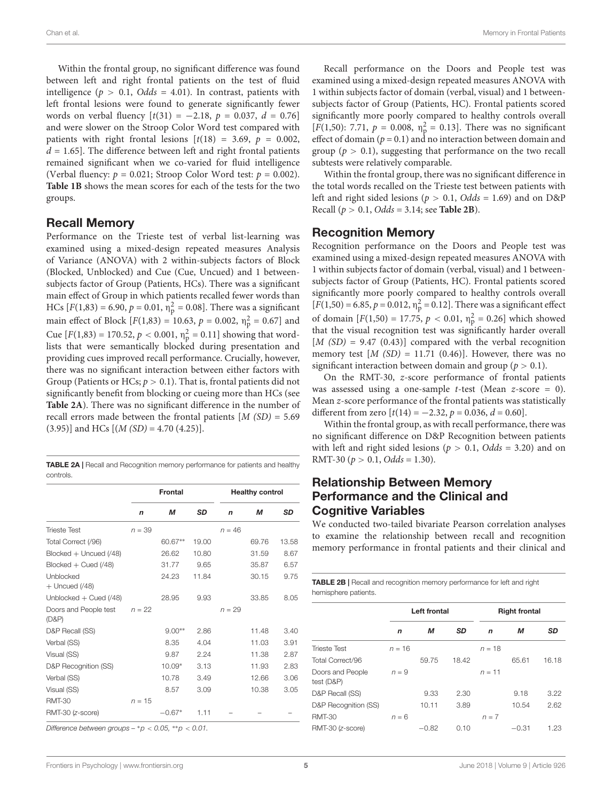Chan et al. Memory in Frontal Patients

Within the frontal group, no significant difference was found between left and right frontal patients on the test of fluid intelligence ( $p > 0.1$ , Odds = 4.01). In contrast, patients with left frontal lesions were found to generate significantly fewer words on verbal fluency  $[t(31) = -2.18, p = 0.037, d = 0.76]$ and were slower on the Stroop Color Word test compared with patients with right frontal lesions  $[t(18) = 3.69, p = 0.002,$  $d = 1.65$ . The difference between left and right frontal patients remained significant when we co-varied for fluid intelligence (Verbal fluency:  $p = 0.021$ ; Stroop Color Word test:  $p = 0.002$ ). **[Table 1B](#page-3-1)** shows the mean scores for each of the tests for the two groups.

## Recall Memory

Performance on the Trieste test of verbal list-learning was examined using a mixed-design repeated measures Analysis of Variance (ANOVA) with 2 within-subjects factors of Block (Blocked, Unblocked) and Cue (Cue, Uncued) and 1 betweensubjects factor of Group (Patients, HCs). There was a significant main effect of Group in which patients recalled fewer words than HCs  $[F(1,83) = 6.90, p = 0.01, \eta_{\rm p}^2 = 0.08]$ . There was a significant main effect of Block  $[F(1,83) = 10.63, p = 0.002, \eta_{\rm p}^2 = 0.67]$  and Cue  $[F(1,83) = 170.52, p < 0.001, \eta_p^2 = 0.11]$  showing that wordlists that were semantically blocked during presentation and providing cues improved recall performance. Crucially, however, there was no significant interaction between either factors with Group (Patients or HCs;  $p > 0.1$ ). That is, frontal patients did not significantly benefit from blocking or cueing more than HCs (see **[Table 2A](#page-4-0)**). There was no significant difference in the number of recall errors made between the frontal patients  $[M (SD) = 5.69]$  $(3.95)$ ] and HCs  $[(M(SD) = 4.70 (4.25)].$ 

TABLE 2A | Recall and Recognition memory performance for patients and healthy controls.

|                                   | <b>Frontal</b> |          |           | <b>Healthy control</b> |       |           |  |
|-----------------------------------|----------------|----------|-----------|------------------------|-------|-----------|--|
|                                   | $\mathsf{n}$   | М        | <b>SD</b> | n                      | М     | <b>SD</b> |  |
| <b>Trieste Test</b>               | $n = 39$       |          |           | $n = 46$               |       |           |  |
| Total Correct (/96)               |                | 60.67**  | 19.00     |                        | 69.76 | 13.58     |  |
| Blocked + Uncued (/48)            |                | 26.62    | 10.80     |                        | 31.59 | 8.67      |  |
| Blocked $+$ Cued ( $/48$ )        |                | 31.77    | 9.65      |                        | 35.87 | 6.57      |  |
| Unblocked<br>$+$ Uncued ( $/48$ ) |                | 24.23    | 11.84     |                        | 30.15 | 9.75      |  |
| Unblocked $+$ Cued (/48)          |                | 28.95    | 9.93      |                        | 33.85 | 8.05      |  |
| Doors and People test<br>(D&P)    | $n = 22$       |          |           | $n = 29$               |       |           |  |
| D&P Recall (SS)                   |                | $9.00**$ | 2.86      |                        | 11.48 | 3.40      |  |
| Verbal (SS)                       |                | 8.35     | 4.04      |                        | 11.03 | 3.91      |  |
| Visual (SS)                       |                | 9.87     | 2.24      |                        | 11.38 | 2.87      |  |
| D&P Recognition (SS)              |                | $10.09*$ | 3.13      |                        | 11.93 | 2.83      |  |
| Verbal (SS)                       |                | 10.78    | 3.49      |                        | 12.66 | 3.06      |  |
| Visual (SS)                       |                | 8.57     | 3.09      |                        | 10.38 | 3.05      |  |
| <b>RMT-30</b>                     | $n = 15$       |          |           |                        |       |           |  |
| RMT-30 (z-score)                  |                | $-0.67*$ | 1.11      |                        |       |           |  |

Difference between groups – \*p < 0.05, \*\*p < 0.01.

Recall performance on the Doors and People test was examined using a mixed-design repeated measures ANOVA with 1 within subjects factor of domain (verbal, visual) and 1 betweensubjects factor of Group (Patients, HC). Frontal patients scored significantly more poorly compared to healthy controls overall [ $F(1,50)$ : 7.71,  $p = 0.008$ ,  $\eta_p^2 = 0.13$ ]. There was no significant effect of domain ( $p = 0.1$ ) and no interaction between domain and group ( $p > 0.1$ ), suggesting that performance on the two recall subtests were relatively comparable.

Within the frontal group, there was no significant difference in the total words recalled on the Trieste test between patients with left and right sided lesions ( $p > 0.1$ , Odds = 1.69) and on D&P Recall (p > 0.1, Odds = 3.14; see **[Table 2B](#page-4-0)**).

#### Recognition Memory

Recognition performance on the Doors and People test was examined using a mixed-design repeated measures ANOVA with 1 within subjects factor of domain (verbal, visual) and 1 betweensubjects factor of Group (Patients, HC). Frontal patients scored significantly more poorly compared to healthy controls overall  $[F(1,50) = 6.85, p = 0.012, \eta_{\rm p}^2 = 0.12]$ . There was a significant effect of domain  $[F(1,50) = 17.75, p < 0.01, \eta_p^2 = 0.26]$  which showed that the visual recognition test was significantly harder overall  $[M (SD) = 9.47 (0.43)]$  compared with the verbal recognition memory test  $[M (SD) = 11.71 (0.46)]$ . However, there was no significant interaction between domain and group ( $p > 0.1$ ).

On the RMT-30, z-score performance of frontal patients was assessed using a one-sample *t*-test (Mean  $z$ -score = 0). Mean z-score performance of the frontal patients was statistically different from zero  $[t(14) = -2.32, p = 0.036, d = 0.60]$ .

Within the frontal group, as with recall performance, there was no significant difference on D&P Recognition between patients with left and right sided lesions ( $p > 0.1$ , Odds = 3.20) and on RMT-30 ( $p > 0.1$ , Odds = 1.30).

## Relationship Between Memory Performance and the Clinical and Cognitive Variables

We conducted two-tailed bivariate Pearson correlation analyses to examine the relationship between recall and recognition memory performance in frontal patients and their clinical and

<span id="page-4-0"></span>TABLE 2B | Recall and recognition memory performance for left and right hemisphere patients.

|                                | Left frontal |         |           | <b>Right frontal</b> |         |           |  |
|--------------------------------|--------------|---------|-----------|----------------------|---------|-----------|--|
|                                | n            | М       | <b>SD</b> | $\mathbf n$          | М       | <b>SD</b> |  |
| <b>Trieste Test</b>            | $n = 16$     |         |           | $n = 18$             |         |           |  |
| Total Correct/96               |              | 59.75   | 18.42     |                      | 65.61   | 16.18     |  |
| Doors and People<br>test (D&P) | $n = 9$      |         |           | $n = 11$             |         |           |  |
| D&P Recall (SS)                |              | 9.33    | 2.30      |                      | 9.18    | 3.22      |  |
| D&P Recognition (SS)           |              | 10.11   | 3.89      |                      | 10.54   | 2.62      |  |
| <b>RMT-30</b>                  | $n = 6$      |         |           | $n = 7$              |         |           |  |
| RMT-30 (z-score)               |              | $-0.82$ | 0.10      |                      | $-0.31$ | 1.23      |  |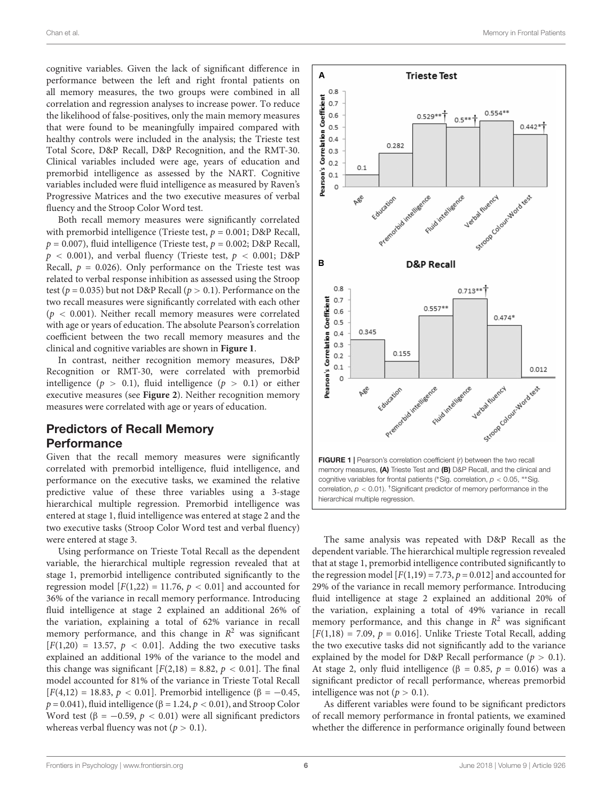cognitive variables. Given the lack of significant difference in performance between the left and right frontal patients on all memory measures, the two groups were combined in all correlation and regression analyses to increase power. To reduce the likelihood of false-positives, only the main memory measures that were found to be meaningfully impaired compared with healthy controls were included in the analysis; the Trieste test Total Score, D&P Recall, D&P Recognition, and the RMT-30. Clinical variables included were age, years of education and premorbid intelligence as assessed by the NART. Cognitive variables included were fluid intelligence as measured by Raven's Progressive Matrices and the two executive measures of verbal fluency and the Stroop Color Word test.

Both recall memory measures were significantly correlated with premorbid intelligence (Trieste test,  $p = 0.001$ ; D&P Recall,  $p = 0.007$ ), fluid intelligence (Trieste test,  $p = 0.002$ ; D&P Recall,  $p$  < 0.001), and verbal fluency (Trieste test,  $p$  < 0.001; D&P Recall,  $p = 0.026$ ). Only performance on the Trieste test was related to verbal response inhibition as assessed using the Stroop test ( $p = 0.035$ ) but not D&P Recall ( $p > 0.1$ ). Performance on the two recall measures were significantly correlated with each other  $(p < 0.001)$ . Neither recall memory measures were correlated with age or years of education. The absolute Pearson's correlation coefficient between the two recall memory measures and the clinical and cognitive variables are shown in **[Figure 1](#page-5-0)**.

In contrast, neither recognition memory measures, D&P Recognition or RMT-30, were correlated with premorbid intelligence ( $p > 0.1$ ), fluid intelligence ( $p > 0.1$ ) or either executive measures (see **[Figure 2](#page-6-0)**). Neither recognition memory measures were correlated with age or years of education.

# Predictors of Recall Memory **Performance**

Given that the recall memory measures were significantly correlated with premorbid intelligence, fluid intelligence, and performance on the executive tasks, we examined the relative predictive value of these three variables using a 3-stage hierarchical multiple regression. Premorbid intelligence was entered at stage 1, fluid intelligence was entered at stage 2 and the two executive tasks (Stroop Color Word test and verbal fluency) were entered at stage 3.

Using performance on Trieste Total Recall as the dependent variable, the hierarchical multiple regression revealed that at stage 1, premorbid intelligence contributed significantly to the regression model  $[F(1,22) = 11.76, p < 0.01]$  and accounted for 36% of the variance in recall memory performance. Introducing fluid intelligence at stage 2 explained an additional 26% of the variation, explaining a total of 62% variance in recall memory performance, and this change in  $R^2$  was significant  $[F(1,20) = 13.57, p < 0.01]$ . Adding the two executive tasks explained an additional 19% of the variance to the model and this change was significant  $[F(2,18) = 8.82, p < 0.01]$ . The final model accounted for 81% of the variance in Trieste Total Recall [F(4,12) = 18.83, p < 0.01]. Premorbid intelligence (β = −0.45,  $p = 0.041$ , fluid intelligence ( $\beta = 1.24$ ,  $p < 0.01$ ), and Stroop Color Word test ( $\beta$  = -0.59,  $p < 0.01$ ) were all significant predictors whereas verbal fluency was not ( $p > 0.1$ ).



<span id="page-5-0"></span>The same analysis was repeated with D&P Recall as the dependent variable. The hierarchical multiple regression revealed that at stage 1, premorbid intelligence contributed significantly to the regression model  $[F(1,19) = 7.73, p = 0.012]$  and accounted for 29% of the variance in recall memory performance. Introducing fluid intelligence at stage 2 explained an additional 20% of the variation, explaining a total of 49% variance in recall memory performance, and this change in  $R^2$  was significant  $[F(1,18) = 7.09, p = 0.016]$ . Unlike Trieste Total Recall, adding the two executive tasks did not significantly add to the variance explained by the model for D&P Recall performance  $(p > 0.1)$ . At stage 2, only fluid intelligence ( $\beta = 0.85$ ,  $p = 0.016$ ) was a significant predictor of recall performance, whereas premorbid intelligence was not ( $p > 0.1$ ).

As different variables were found to be significant predictors of recall memory performance in frontal patients, we examined whether the difference in performance originally found between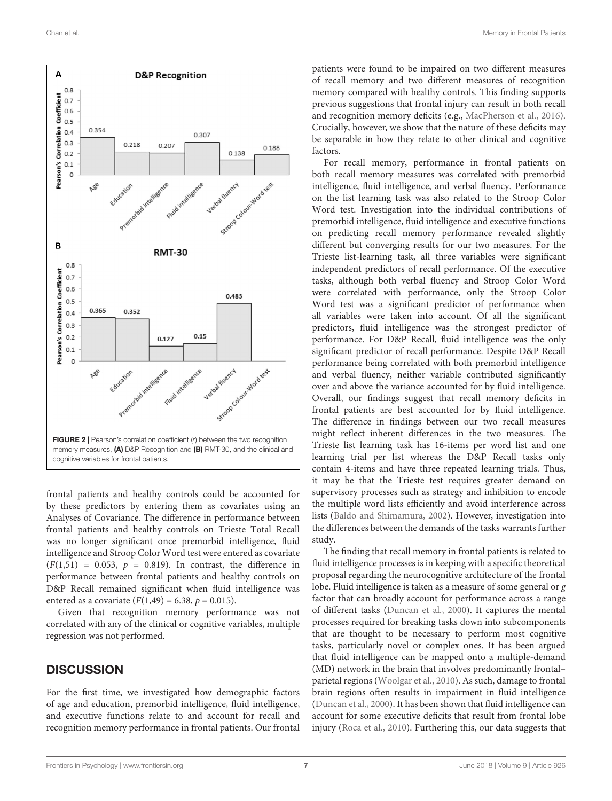

<span id="page-6-0"></span>frontal patients and healthy controls could be accounted for by these predictors by entering them as covariates using an Analyses of Covariance. The difference in performance between frontal patients and healthy controls on Trieste Total Recall was no longer significant once premorbid intelligence, fluid intelligence and Stroop Color Word test were entered as covariate  $(F(1,51) = 0.053, p = 0.819)$ . In contrast, the difference in performance between frontal patients and healthy controls on D&P Recall remained significant when fluid intelligence was entered as a covariate  $(F(1, 49) = 6.38, p = 0.015)$ .

Given that recognition memory performance was not correlated with any of the clinical or cognitive variables, multiple regression was not performed.

#### **DISCUSSION**

For the first time, we investigated how demographic factors of age and education, premorbid intelligence, fluid intelligence, and executive functions relate to and account for recall and recognition memory performance in frontal patients. Our frontal

patients were found to be impaired on two different measures of recall memory and two different measures of recognition memory compared with healthy controls. This finding supports previous suggestions that frontal injury can result in both recall and recognition memory deficits (e.g., [MacPherson et al.,](#page-8-8) [2016\)](#page-8-8). Crucially, however, we show that the nature of these deficits may be separable in how they relate to other clinical and cognitive factors.

For recall memory, performance in frontal patients on both recall memory measures was correlated with premorbid intelligence, fluid intelligence, and verbal fluency. Performance on the list learning task was also related to the Stroop Color Word test. Investigation into the individual contributions of premorbid intelligence, fluid intelligence and executive functions on predicting recall memory performance revealed slightly different but converging results for our two measures. For the Trieste list-learning task, all three variables were significant independent predictors of recall performance. Of the executive tasks, although both verbal fluency and Stroop Color Word were correlated with performance, only the Stroop Color Word test was a significant predictor of performance when all variables were taken into account. Of all the significant predictors, fluid intelligence was the strongest predictor of performance. For D&P Recall, fluid intelligence was the only significant predictor of recall performance. Despite D&P Recall performance being correlated with both premorbid intelligence and verbal fluency, neither variable contributed significantly over and above the variance accounted for by fluid intelligence. Overall, our findings suggest that recall memory deficits in frontal patients are best accounted for by fluid intelligence. The difference in findings between our two recall measures might reflect inherent differences in the two measures. The Trieste list learning task has 16-items per word list and one learning trial per list whereas the D&P Recall tasks only contain 4-items and have three repeated learning trials. Thus, it may be that the Trieste test requires greater demand on supervisory processes such as strategy and inhibition to encode the multiple word lists efficiently and avoid interference across lists [\(Baldo and Shimamura,](#page-8-9) [2002\)](#page-8-9). However, investigation into the differences between the demands of the tasks warrants further study.

The finding that recall memory in frontal patients is related to fluid intelligence processes is in keeping with a specific theoretical proposal regarding the neurocognitive architecture of the frontal lobe. Fluid intelligence is taken as a measure of some general or g factor that can broadly account for performance across a range of different tasks [\(Duncan et al.,](#page-8-17) [2000\)](#page-8-17). It captures the mental processes required for breaking tasks down into subcomponents that are thought to be necessary to perform most cognitive tasks, particularly novel or complex ones. It has been argued that fluid intelligence can be mapped onto a multiple-demand (MD) network in the brain that involves predominantly frontal– parietal regions [\(Woolgar et al.,](#page-9-0) [2010\)](#page-9-0). As such, damage to frontal brain regions often results in impairment in fluid intelligence [\(Duncan et al.,](#page-8-17) [2000\)](#page-8-17). It has been shown that fluid intelligence can account for some executive deficits that result from frontal lobe injury [\(Roca et al.,](#page-8-18) [2010\)](#page-8-18). Furthering this, our data suggests that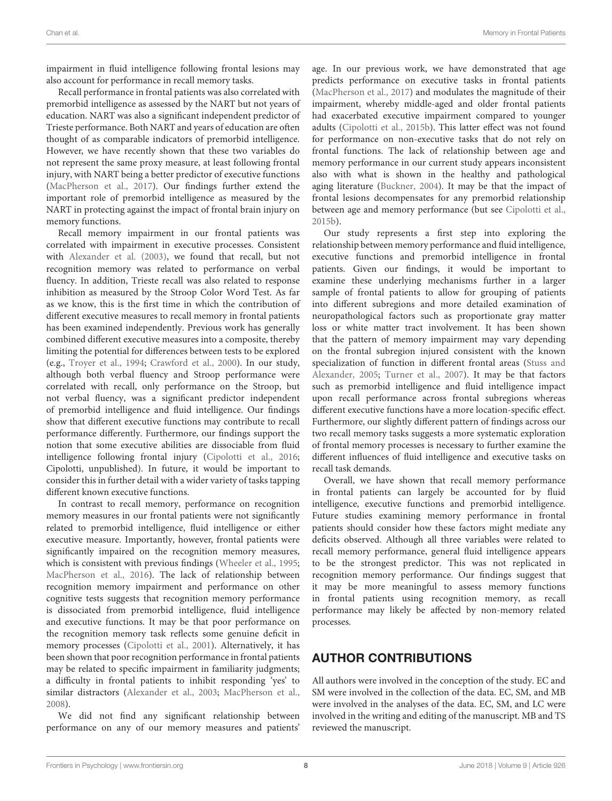impairment in fluid intelligence following frontal lesions may also account for performance in recall memory tasks.

Recall performance in frontal patients was also correlated with premorbid intelligence as assessed by the NART but not years of education. NART was also a significant independent predictor of Trieste performance. Both NART and years of education are often thought of as comparable indicators of premorbid intelligence. However, we have recently shown that these two variables do not represent the same proxy measure, at least following frontal injury, with NART being a better predictor of executive functions [\(MacPherson et al.,](#page-8-24) [2017\)](#page-8-24). Our findings further extend the important role of premorbid intelligence as measured by the NART in protecting against the impact of frontal brain injury on memory functions.

Recall memory impairment in our frontal patients was correlated with impairment in executive processes. Consistent with [Alexander et al.](#page-8-6) [\(2003\)](#page-8-6), we found that recall, but not recognition memory was related to performance on verbal fluency. In addition, Trieste recall was also related to response inhibition as measured by the Stroop Color Word Test. As far as we know, this is the first time in which the contribution of different executive measures to recall memory in frontal patients has been examined independently. Previous work has generally combined different executive measures into a composite, thereby limiting the potential for differences between tests to be explored (e.g., [Troyer et al.,](#page-8-11) [1994;](#page-8-11) [Crawford et al.,](#page-8-12) [2000\)](#page-8-12). In our study, although both verbal fluency and Stroop performance were correlated with recall, only performance on the Stroop, but not verbal fluency, was a significant predictor independent of premorbid intelligence and fluid intelligence. Our findings show that different executive functions may contribute to recall performance differently. Furthermore, our findings support the notion that some executive abilities are dissociable from fluid intelligence following frontal injury [\(Cipolotti et al.,](#page-8-29) [2016;](#page-8-29) Cipolotti, unpublished). In future, it would be important to consider this in further detail with a wider variety of tasks tapping different known executive functions.

In contrast to recall memory, performance on recognition memory measures in our frontal patients were not significantly related to premorbid intelligence, fluid intelligence or either executive measure. Importantly, however, frontal patients were significantly impaired on the recognition memory measures, which is consistent with previous findings [\(Wheeler et al.,](#page-8-0) [1995;](#page-8-0) [MacPherson et al.,](#page-8-8) [2016\)](#page-8-8). The lack of relationship between recognition memory impairment and performance on other cognitive tests suggests that recognition memory performance is dissociated from premorbid intelligence, fluid intelligence and executive functions. It may be that poor performance on the recognition memory task reflects some genuine deficit in memory processes [\(Cipolotti et al.,](#page-8-35) [2001\)](#page-8-35). Alternatively, it has been shown that poor recognition performance in frontal patients may be related to specific impairment in familiarity judgments; a difficulty in frontal patients to inhibit responding 'yes' to similar distractors [\(Alexander et al.,](#page-8-6) [2003;](#page-8-6) [MacPherson et al.,](#page-8-36) [2008\)](#page-8-36).

We did not find any significant relationship between performance on any of our memory measures and patients' age. In our previous work, we have demonstrated that age predicts performance on executive tasks in frontal patients [\(MacPherson et al.,](#page-8-24) [2017\)](#page-8-24) and modulates the magnitude of their impairment, whereby middle-aged and older frontal patients had exacerbated executive impairment compared to younger adults [\(Cipolotti et al.,](#page-8-25) [2015b\)](#page-8-25). This latter effect was not found for performance on non-executive tasks that do not rely on frontal functions. The lack of relationship between age and memory performance in our current study appears inconsistent also with what is shown in the healthy and pathological aging literature [\(Buckner,](#page-8-10) [2004\)](#page-8-10). It may be that the impact of frontal lesions decompensates for any premorbid relationship between age and memory performance (but see [Cipolotti et al.,](#page-8-25) [2015b\)](#page-8-25).

Our study represents a first step into exploring the relationship between memory performance and fluid intelligence, executive functions and premorbid intelligence in frontal patients. Given our findings, it would be important to examine these underlying mechanisms further in a larger sample of frontal patients to allow for grouping of patients into different subregions and more detailed examination of neuropathological factors such as proportionate gray matter loss or white matter tract involvement. It has been shown that the pattern of memory impairment may vary depending on the frontal subregion injured consistent with the known specialization of function in different frontal areas [\(Stuss and](#page-8-37) [Alexander,](#page-8-37) [2005;](#page-8-37) [Turner et al.,](#page-8-16) [2007\)](#page-8-16). It may be that factors such as premorbid intelligence and fluid intelligence impact upon recall performance across frontal subregions whereas different executive functions have a more location-specific effect. Furthermore, our slightly different pattern of findings across our two recall memory tasks suggests a more systematic exploration of frontal memory processes is necessary to further examine the different influences of fluid intelligence and executive tasks on recall task demands.

Overall, we have shown that recall memory performance in frontal patients can largely be accounted for by fluid intelligence, executive functions and premorbid intelligence. Future studies examining memory performance in frontal patients should consider how these factors might mediate any deficits observed. Although all three variables were related to recall memory performance, general fluid intelligence appears to be the strongest predictor. This was not replicated in recognition memory performance. Our findings suggest that it may be more meaningful to assess memory functions in frontal patients using recognition memory, as recall performance may likely be affected by non-memory related processes.

## AUTHOR CONTRIBUTIONS

All authors were involved in the conception of the study. EC and SM were involved in the collection of the data. EC, SM, and MB were involved in the analyses of the data. EC, SM, and LC were involved in the writing and editing of the manuscript. MB and TS reviewed the manuscript.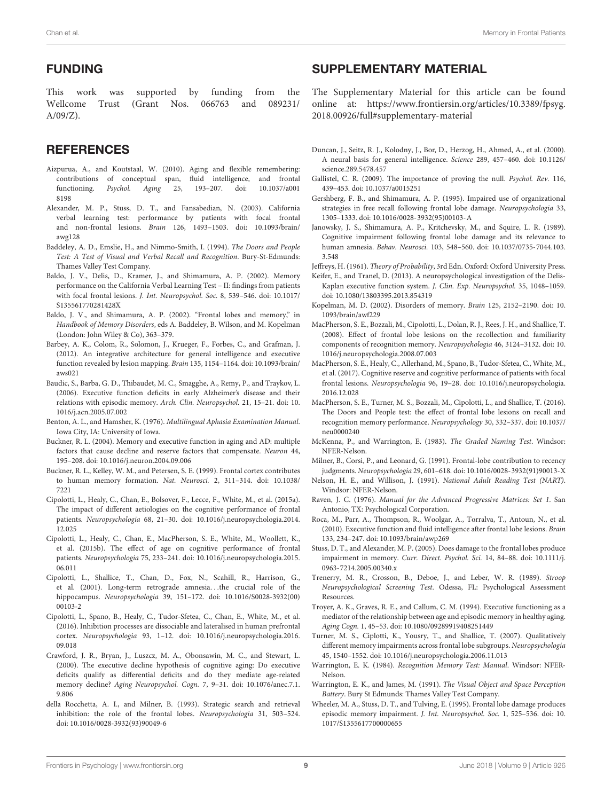## FUNDING

This work was supported by funding from the Wellcome Trust (Grant Nos. 066763 and 089231/ A/09/Z).

#### **REFERENCES**

- <span id="page-8-21"></span>Aizpurua, A., and Koutstaal, W. (2010). Aging and flexible remembering: contributions of conceptual span, fluid intelligence, and frontal functioning. Psychol. Aging 25, 193–207. [doi: 10.1037/a001](https://doi.org/10.1037/a0018198) [8198](https://doi.org/10.1037/a0018198)
- <span id="page-8-6"></span>Alexander, M. P., Stuss, D. T., and Fansabedian, N. (2003). California verbal learning test: performance by patients with focal frontal and non-frontal lesions. Brain 126, 1493–1503. [doi: 10.1093/brain/](https://doi.org/10.1093/brain/awg128) [awg128](https://doi.org/10.1093/brain/awg128)
- <span id="page-8-7"></span>Baddeley, A. D., Emslie, H., and Nimmo-Smith, I. (1994). The Doors and People Test: A Test of Visual and Verbal Recall and Recognition. Bury-St-Edmunds: Thames Valley Test Company.
- <span id="page-8-5"></span>Baldo, J. V., Delis, D., Kramer, J., and Shimamura, A. P. (2002). Memory performance on the California Verbal Learning Test – II: findings from patients with focal frontal lesions. J. Int. Neuropsychol. Soc. 8, 539–546. [doi: 10.1017/](https://doi.org/10.1017/S135561770281428X) [S135561770281428X](https://doi.org/10.1017/S135561770281428X)
- <span id="page-8-9"></span>Baldo, J. V., and Shimamura, A. P. (2002). "Frontal lobes and memory," in Handbook of Memory Disorders, eds A. Baddeley, B. Wilson, and M. Kopelman (London: John Wiley & Co), 363–379.
- <span id="page-8-19"></span>Barbey, A. K., Colom, R., Solomon, J., Krueger, F., Forbes, C., and Grafman, J. (2012). An integrative architecture for general intelligence and executive function revealed by lesion mapping. Brain 135, 1154–1164. [doi: 10.1093/brain/](https://doi.org/10.1093/brain/aws021) [aws021](https://doi.org/10.1093/brain/aws021)
- <span id="page-8-13"></span>Baudic, S., Barba, G. D., Thibaudet, M. C., Smagghe, A., Remy, P., and Traykov, L. (2006). Executive function deficits in early Alzheimer's disease and their relations with episodic memory. Arch. Clin. Neuropsychol. 21, 15–21. [doi: 10.](https://doi.org/10.1016/j.acn.2005.07.002) [1016/j.acn.2005.07.002](https://doi.org/10.1016/j.acn.2005.07.002)
- <span id="page-8-30"></span>Benton, A. L., and Hamsher, K. (1976). Multilingual Aphasia Examination Manual. Iowa City, IA: University of Iowa.
- <span id="page-8-10"></span>Buckner, R. L. (2004). Memory and executive function in aging and AD: multiple factors that cause decline and reserve factors that compensate. Neuron 44, 195–208. [doi: 10.1016/j.neuron.2004.09.006](https://doi.org/10.1016/j.neuron.2004.09.006)
- <span id="page-8-2"></span>Buckner, R. L., Kelley, W. M., and Petersen, S. E. (1999). Frontal cortex contributes to human memory formation. Nat. Neurosci. 2, 311–314. [doi: 10.1038/](https://doi.org/10.1038/7221) [7221](https://doi.org/10.1038/7221)
- <span id="page-8-23"></span>Cipolotti, L., Healy, C., Chan, E., Bolsover, F., Lecce, F., White, M., et al. (2015a). The impact of different aetiologies on the cognitive performance of frontal patients. Neuropsychologia 68, 21–30. [doi: 10.1016/j.neuropsychologia.2014.](https://doi.org/10.1016/j.neuropsychologia.2014.12.025) [12.025](https://doi.org/10.1016/j.neuropsychologia.2014.12.025)
- <span id="page-8-25"></span>Cipolotti, L., Healy, C., Chan, E., MacPherson, S. E., White, M., Woollett, K., et al. (2015b). The effect of age on cognitive performance of frontal patients. Neuropsychologia 75, 233–241. [doi: 10.1016/j.neuropsychologia.2015.](https://doi.org/10.1016/j.neuropsychologia.2015.06.011) [06.011](https://doi.org/10.1016/j.neuropsychologia.2015.06.011)
- <span id="page-8-35"></span>Cipolotti, L., Shallice, T., Chan, D., Fox, N., Scahill, R., Harrison, G., et al. (2001). Long-term retrograde amnesia. . .the crucial role of the hippocampus. Neuropsychologia 39, 151–172. [doi: 10.1016/S0028-3932\(00\)](https://doi.org/10.1016/S0028-3932(00)00103-2) [00103-2](https://doi.org/10.1016/S0028-3932(00)00103-2)
- <span id="page-8-29"></span>Cipolotti, L., Spano, B., Healy, C., Tudor-Sfetea, C., Chan, E., White, M., et al. (2016). Inhibition processes are dissociable and lateralised in human prefrontal cortex. Neuropsychologia 93, 1–12. [doi: 10.1016/j.neuropsychologia.2016.](https://doi.org/10.1016/j.neuropsychologia.2016.09.018) [09.018](https://doi.org/10.1016/j.neuropsychologia.2016.09.018)
- <span id="page-8-12"></span>Crawford, J. R., Bryan, J., Luszcz, M. A., Obonsawin, M. C., and Stewart, L. (2000). The executive decline hypothesis of cognitive aging: Do executive deficits qualify as differential deficits and do they mediate age-related memory decline? Aging Neuropsychol. Cogn. 7, 9–31. [doi: 10.1076/anec.7.1.](https://doi.org/10.1076/anec.7.1.9.806) [9.806](https://doi.org/10.1076/anec.7.1.9.806)
- <span id="page-8-14"></span>della Rocchetta, A. I., and Milner, B. (1993). Strategic search and retrieval inhibition: the role of the frontal lobes. Neuropsychologia 31, 503–524. [doi: 10.1016/0028-3932\(93\)90049-6](https://doi.org/10.1016/0028-3932(93)90049-6)

#### SUPPLEMENTARY MATERIAL

The Supplementary Material for this article can be found online at: [https://www.frontiersin.org/articles/10.3389/fpsyg.](https://www.frontiersin.org/articles/10.3389/fpsyg.2018.00926/full#supplementary-material) [2018.00926/full#supplementary-material](https://www.frontiersin.org/articles/10.3389/fpsyg.2018.00926/full#supplementary-material)

- <span id="page-8-17"></span>Duncan, J., Seitz, R. J., Kolodny, J., Bor, D., Herzog, H., Ahmed, A., et al. (2000). A neural basis for general intelligence. Science 289, 457–460. [doi: 10.1126/](https://doi.org/10.1126/science.289.5478.457) [science.289.5478.457](https://doi.org/10.1126/science.289.5478.457)
- <span id="page-8-33"></span>Gallistel, C. R. (2009). The importance of proving the null. Psychol. Rev. 116, 439–453. [doi: 10.1037/a0015251](https://doi.org/10.1037/a0015251)
- <span id="page-8-15"></span>Gershberg, F. B., and Shimamura, A. P. (1995). Impaired use of organizational strategies in free recall following frontal lobe damage. Neuropsychologia 33, 1305–1333. [doi: 10.1016/0028-3932\(95\)00103-A](https://doi.org/10.1016/0028-3932(95)00103-A)
- <span id="page-8-3"></span>Janowsky, J. S., Shimamura, A. P., Kritchevsky, M., and Squire, L. R. (1989). Cognitive impairment following frontal lobe damage and its relevance to human amnesia. Behav. Neurosci. 103, 548–560. [doi: 10.1037/0735-7044.103.](https://doi.org/10.1037/0735-7044.103.3.548) [3.548](https://doi.org/10.1037/0735-7044.103.3.548)

<span id="page-8-34"></span>Jeffreys, H. (1961). Theory of Probability, 3rd Edn. Oxford: Oxford University Press.

<span id="page-8-20"></span>Keifer, E., and Tranel, D. (2013). A neuropsychological investigation of the Delis-Kaplan executive function system. J. Clin. Exp. Neuropsychol. 35, 1048–1059. [doi: 10.1080/13803395.2013.854319](https://doi.org/10.1080/13803395.2013.854319)

- <span id="page-8-1"></span>Kopelman, M. D. (2002). Disorders of memory. Brain 125, 2152–2190. [doi: 10.](https://doi.org/10.1093/brain/awf229) [1093/brain/awf229](https://doi.org/10.1093/brain/awf229)
- <span id="page-8-36"></span>MacPherson, S. E., Bozzali, M., Cipolotti, L., Dolan, R. J., Rees, J. H., and Shallice, T. (2008). Effect of frontal lobe lesions on the recollection and familiarity components of recognition memory. Neuropsychologia 46, 3124–3132. [doi: 10.](https://doi.org/10.1016/j.neuropsychologia.2008.07.003) [1016/j.neuropsychologia.2008.07.003](https://doi.org/10.1016/j.neuropsychologia.2008.07.003)
- <span id="page-8-24"></span>MacPherson, S. E., Healy, C., Allerhand, M., Spano, B., Tudor-Sfetea, C., White, M., et al. (2017). Cognitive reserve and cognitive performance of patients with focal frontal lesions. Neuropsychologia 96, 19–28. [doi: 10.1016/j.neuropsychologia.](https://doi.org/10.1016/j.neuropsychologia.2016.12.028) [2016.12.028](https://doi.org/10.1016/j.neuropsychologia.2016.12.028)
- <span id="page-8-8"></span>MacPherson, S. E., Turner, M. S., Bozzali, M., Cipolotti, L., and Shallice, T. (2016). The Doors and People test: the effect of frontal lobe lesions on recall and recognition memory performance. Neuropsychology 30, 332–337. [doi: 10.1037/](https://doi.org/10.1037/neu0000240) [neu0000240](https://doi.org/10.1037/neu0000240)
- <span id="page-8-26"></span>McKenna, P., and Warrington, E. (1983). The Graded Naming Test. Windsor: NFER-Nelson.
- <span id="page-8-4"></span>Milner, B., Corsi, P., and Leonard, G. (1991). Frontal-lobe contribution to recency judgments. Neuropsychologia 29, 601–618. [doi: 10.1016/0028-3932\(91\)90013-X](https://doi.org/10.1016/0028-3932(91)90013-X)
- <span id="page-8-22"></span>Nelson, H. E., and Willison, J. (1991). National Adult Reading Test (NART). Windsor: NFER-Nelson.
- <span id="page-8-28"></span>Raven, J. C. (1976). Manual for the Advanced Progressive Matrices: Set 1. San Antonio, TX: Psychological Corporation.
- <span id="page-8-18"></span>Roca, M., Parr, A., Thompson, R., Woolgar, A., Torralva, T., Antoun, N., et al. (2010). Executive function and fluid intelligence after frontal lobe lesions. Brain 133, 234–247. [doi: 10.1093/brain/awp269](https://doi.org/10.1093/brain/awp269)
- <span id="page-8-37"></span>Stuss, D. T., and Alexander, M. P. (2005). Does damage to the frontal lobes produce impairment in memory. Curr. Direct. Psychol. Sci. 14, 84–88. [doi: 10.1111/j.](https://doi.org/10.1111/j.0963-7214.2005.00340.x) [0963-7214.2005.00340.x](https://doi.org/10.1111/j.0963-7214.2005.00340.x)
- <span id="page-8-31"></span>Trenerry, M. R., Crosson, B., Deboe, J., and Leber, W. R. (1989). Stroop Neuropsychological Screening Test. Odessa, FL: Psychological Assessment Resources.
- <span id="page-8-11"></span>Troyer, A. K., Graves, R. E., and Callum, C. M. (1994). Executive functioning as a mediator of the relationship between age and episodic memory in healthy aging. Aging Cogn. 1, 45–53. [doi: 10.1080/09289919408251449](https://doi.org/10.1080/09289919408251449)
- <span id="page-8-16"></span>Turner, M. S., Ciplotti, K., Yousry, T., and Shallice, T. (2007). Qualitatively different memory impairments across frontal lobe subgroups. Neuropsychologia 45, 1540–1552. [doi: 10.1016/j.neuropsychologia.2006.11.013](https://doi.org/10.1016/j.neuropsychologia.2006.11.013)
- <span id="page-8-32"></span>Warrington, E. K. (1984). Recognition Memory Test: Manual. Windsor: NFER-Nelson.
- <span id="page-8-27"></span>Warrington, E. K., and James, M. (1991). The Visual Object and Space Perception Battery. Bury St Edmunds: Thames Valley Test Company.
- <span id="page-8-0"></span>Wheeler, M. A., Stuss, D. T., and Tulving, E. (1995). Frontal lobe damage produces episodic memory impairment. J. Int. Neuropsychol. Soc. 1, 525–536. [doi: 10.](https://doi.org/10.1017/S1355617700000655) [1017/S1355617700000655](https://doi.org/10.1017/S1355617700000655)